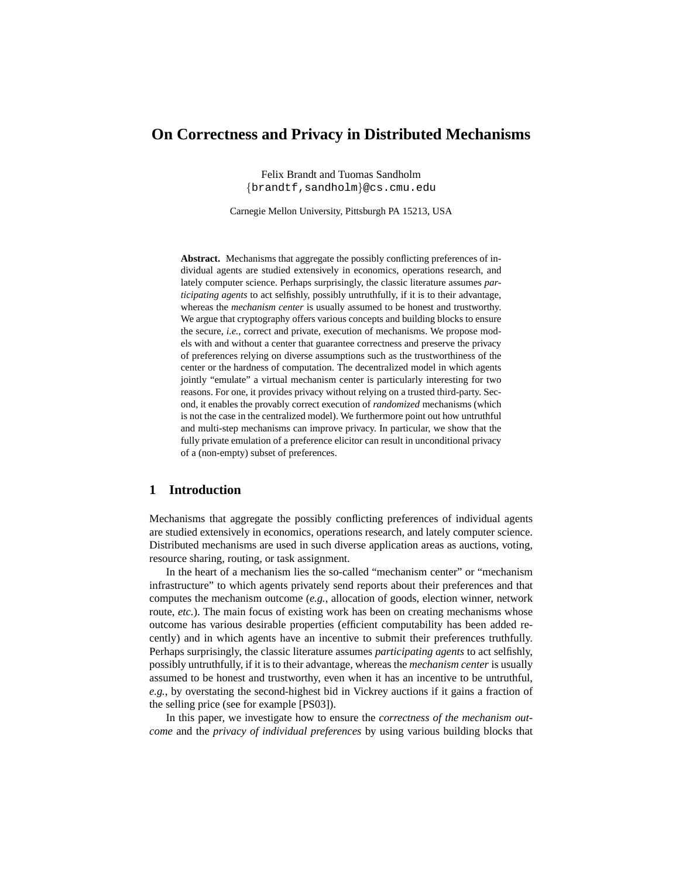# **On Correctness and Privacy in Distributed Mechanisms**

Felix Brandt and Tuomas Sandholm {brandtf,sandholm}@cs.cmu.edu

Carnegie Mellon University, Pittsburgh PA 15213, USA

**Abstract.** Mechanisms that aggregate the possibly conflicting preferences of individual agents are studied extensively in economics, operations research, and lately computer science. Perhaps surprisingly, the classic literature assumes *participating agents* to act selfishly, possibly untruthfully, if it is to their advantage, whereas the *mechanism center* is usually assumed to be honest and trustworthy. We argue that cryptography offers various concepts and building blocks to ensure the secure, *i.e.*, correct and private, execution of mechanisms. We propose models with and without a center that guarantee correctness and preserve the privacy of preferences relying on diverse assumptions such as the trustworthiness of the center or the hardness of computation. The decentralized model in which agents jointly "emulate" a virtual mechanism center is particularly interesting for two reasons. For one, it provides privacy without relying on a trusted third-party. Second, it enables the provably correct execution of *randomized* mechanisms (which is not the case in the centralized model). We furthermore point out how untruthful and multi-step mechanisms can improve privacy. In particular, we show that the fully private emulation of a preference elicitor can result in unconditional privacy of a (non-empty) subset of preferences.

# **1 Introduction**

Mechanisms that aggregate the possibly conflicting preferences of individual agents are studied extensively in economics, operations research, and lately computer science. Distributed mechanisms are used in such diverse application areas as auctions, voting, resource sharing, routing, or task assignment.

In the heart of a mechanism lies the so-called "mechanism center" or "mechanism infrastructure" to which agents privately send reports about their preferences and that computes the mechanism outcome (*e.g.*, allocation of goods, election winner, network route, *etc.*). The main focus of existing work has been on creating mechanisms whose outcome has various desirable properties (efficient computability has been added recently) and in which agents have an incentive to submit their preferences truthfully. Perhaps surprisingly, the classic literature assumes *participating agents* to act selfishly, possibly untruthfully, if it is to their advantage, whereas the *mechanism center* is usually assumed to be honest and trustworthy, even when it has an incentive to be untruthful, *e.g.*, by overstating the second-highest bid in Vickrey auctions if it gains a fraction of the selling price (see for example [PS03]).

In this paper, we investigate how to ensure the *correctness of the mechanism outcome* and the *privacy of individual preferences* by using various building blocks that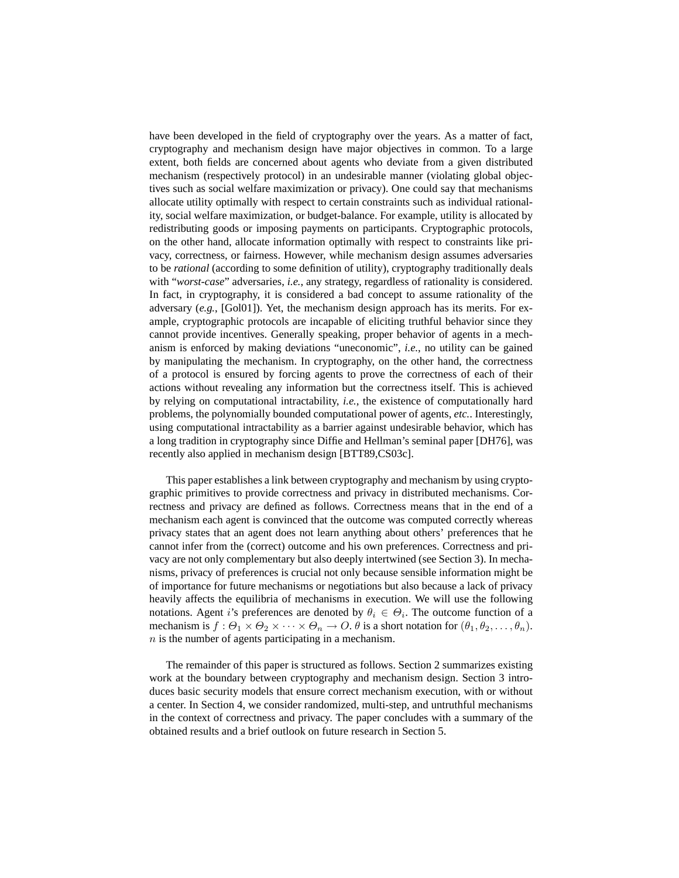have been developed in the field of cryptography over the years. As a matter of fact, cryptography and mechanism design have major objectives in common. To a large extent, both fields are concerned about agents who deviate from a given distributed mechanism (respectively protocol) in an undesirable manner (violating global objectives such as social welfare maximization or privacy). One could say that mechanisms allocate utility optimally with respect to certain constraints such as individual rationality, social welfare maximization, or budget-balance. For example, utility is allocated by redistributing goods or imposing payments on participants. Cryptographic protocols, on the other hand, allocate information optimally with respect to constraints like privacy, correctness, or fairness. However, while mechanism design assumes adversaries to be *rational* (according to some definition of utility), cryptography traditionally deals with "*worst-case*" adversaries, *i.e.*, any strategy, regardless of rationality is considered. In fact, in cryptography, it is considered a bad concept to assume rationality of the adversary (*e.g.*, [Gol01]). Yet, the mechanism design approach has its merits. For example, cryptographic protocols are incapable of eliciting truthful behavior since they cannot provide incentives. Generally speaking, proper behavior of agents in a mechanism is enforced by making deviations "uneconomic", *i.e.*, no utility can be gained by manipulating the mechanism. In cryptography, on the other hand, the correctness of a protocol is ensured by forcing agents to prove the correctness of each of their actions without revealing any information but the correctness itself. This is achieved by relying on computational intractability, *i.e.*, the existence of computationally hard problems, the polynomially bounded computational power of agents, *etc.*. Interestingly, using computational intractability as a barrier against undesirable behavior, which has a long tradition in cryptography since Diffie and Hellman's seminal paper [DH76], was recently also applied in mechanism design [BTT89,CS03c].

This paper establishes a link between cryptography and mechanism by using cryptographic primitives to provide correctness and privacy in distributed mechanisms. Correctness and privacy are defined as follows. Correctness means that in the end of a mechanism each agent is convinced that the outcome was computed correctly whereas privacy states that an agent does not learn anything about others' preferences that he cannot infer from the (correct) outcome and his own preferences. Correctness and privacy are not only complementary but also deeply intertwined (see Section 3). In mechanisms, privacy of preferences is crucial not only because sensible information might be of importance for future mechanisms or negotiations but also because a lack of privacy heavily affects the equilibria of mechanisms in execution. We will use the following notations. Agent *i*'s preferences are denoted by  $\theta_i \in \Theta_i$ . The outcome function of a mechanism is  $f : \Theta_1 \times \Theta_2 \times \cdots \times \Theta_n \to O$ .  $\theta$  is a short notation for  $(\theta_1, \theta_2, \ldots, \theta_n)$ .  $n$  is the number of agents participating in a mechanism.

The remainder of this paper is structured as follows. Section 2 summarizes existing work at the boundary between cryptography and mechanism design. Section 3 introduces basic security models that ensure correct mechanism execution, with or without a center. In Section 4, we consider randomized, multi-step, and untruthful mechanisms in the context of correctness and privacy. The paper concludes with a summary of the obtained results and a brief outlook on future research in Section 5.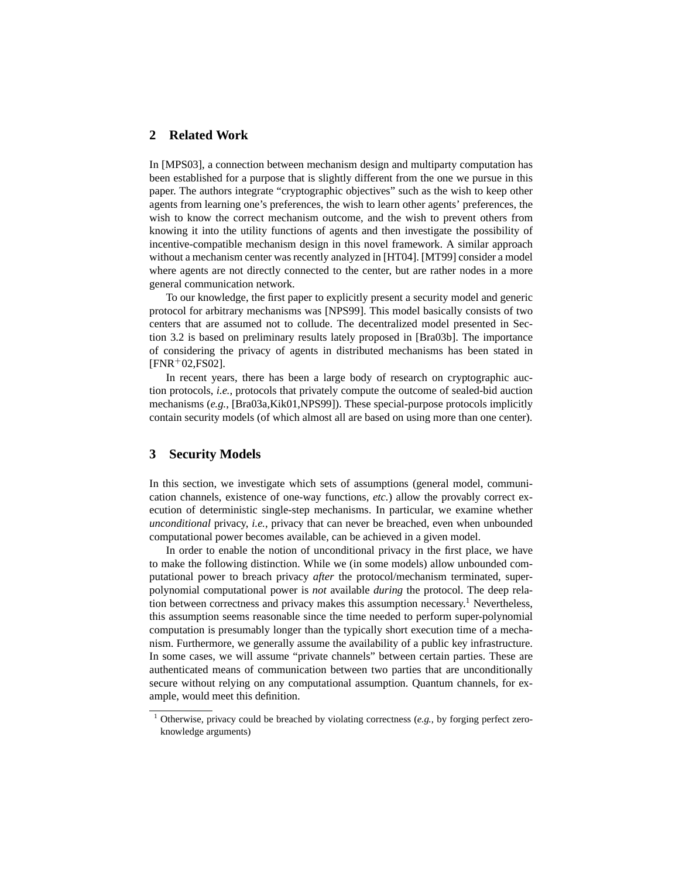# **2 Related Work**

In [MPS03], a connection between mechanism design and multiparty computation has been established for a purpose that is slightly different from the one we pursue in this paper. The authors integrate "cryptographic objectives" such as the wish to keep other agents from learning one's preferences, the wish to learn other agents' preferences, the wish to know the correct mechanism outcome, and the wish to prevent others from knowing it into the utility functions of agents and then investigate the possibility of incentive-compatible mechanism design in this novel framework. A similar approach without a mechanism center was recently analyzed in [HT04]. [MT99] consider a model where agents are not directly connected to the center, but are rather nodes in a more general communication network.

To our knowledge, the first paper to explicitly present a security model and generic protocol for arbitrary mechanisms was [NPS99]. This model basically consists of two centers that are assumed not to collude. The decentralized model presented in Section 3.2 is based on preliminary results lately proposed in [Bra03b]. The importance of considering the privacy of agents in distributed mechanisms has been stated in  $[FNR+02,FS02]$ .

In recent years, there has been a large body of research on cryptographic auction protocols, *i.e.*, protocols that privately compute the outcome of sealed-bid auction mechanisms (*e.g.*, [Bra03a,Kik01,NPS99]). These special-purpose protocols implicitly contain security models (of which almost all are based on using more than one center).

## **3 Security Models**

In this section, we investigate which sets of assumptions (general model, communication channels, existence of one-way functions, *etc.*) allow the provably correct execution of deterministic single-step mechanisms. In particular, we examine whether *unconditional* privacy, *i.e.*, privacy that can never be breached, even when unbounded computational power becomes available, can be achieved in a given model.

In order to enable the notion of unconditional privacy in the first place, we have to make the following distinction. While we (in some models) allow unbounded computational power to breach privacy *after* the protocol/mechanism terminated, superpolynomial computational power is *not* available *during* the protocol. The deep relation between correctness and privacy makes this assumption necessary.<sup>1</sup> Nevertheless, this assumption seems reasonable since the time needed to perform super-polynomial computation is presumably longer than the typically short execution time of a mechanism. Furthermore, we generally assume the availability of a public key infrastructure. In some cases, we will assume "private channels" between certain parties. These are authenticated means of communication between two parties that are unconditionally secure without relying on any computational assumption. Quantum channels, for example, would meet this definition.

<sup>1</sup> Otherwise, privacy could be breached by violating correctness (*e.g.*, by forging perfect zeroknowledge arguments)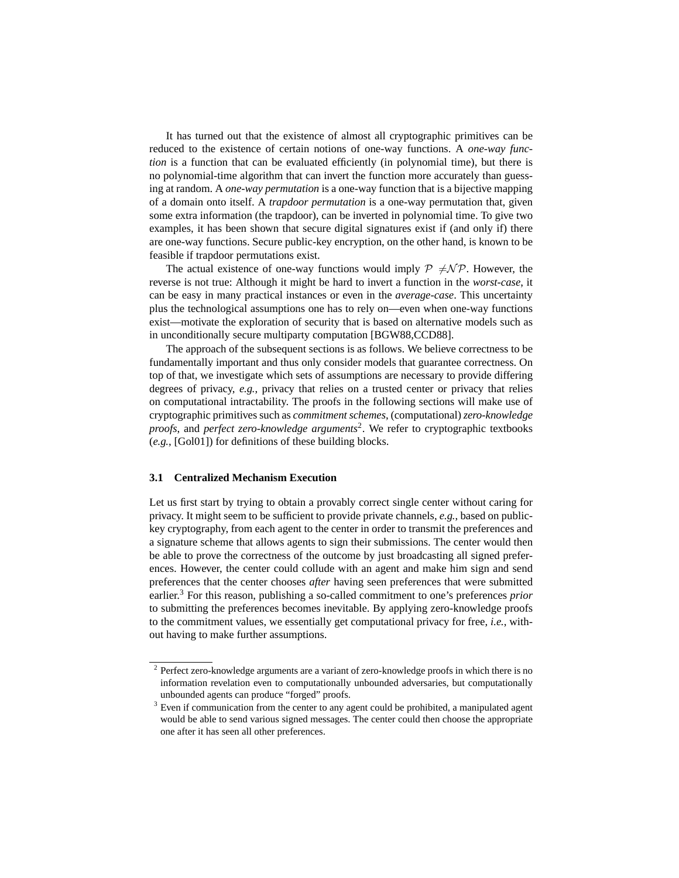It has turned out that the existence of almost all cryptographic primitives can be reduced to the existence of certain notions of one-way functions. A *one-way function* is a function that can be evaluated efficiently (in polynomial time), but there is no polynomial-time algorithm that can invert the function more accurately than guessing at random. A *one-way permutation* is a one-way function that is a bijective mapping of a domain onto itself. A *trapdoor permutation* is a one-way permutation that, given some extra information (the trapdoor), can be inverted in polynomial time. To give two examples, it has been shown that secure digital signatures exist if (and only if) there are one-way functions. Secure public-key encryption, on the other hand, is known to be feasible if trapdoor permutations exist.

The actual existence of one-way functions would imply  $\mathcal{P} \neq \mathcal{NP}$ . However, the reverse is not true: Although it might be hard to invert a function in the *worst-case*, it can be easy in many practical instances or even in the *average-case*. This uncertainty plus the technological assumptions one has to rely on—even when one-way functions exist—motivate the exploration of security that is based on alternative models such as in unconditionally secure multiparty computation [BGW88,CCD88].

The approach of the subsequent sections is as follows. We believe correctness to be fundamentally important and thus only consider models that guarantee correctness. On top of that, we investigate which sets of assumptions are necessary to provide differing degrees of privacy, *e.g.*, privacy that relies on a trusted center or privacy that relies on computational intractability. The proofs in the following sections will make use of cryptographic primitives such as *commitment schemes*, (computational) *zero-knowledge proofs*, and *perfect zero-knowledge arguments*<sup>2</sup> . We refer to cryptographic textbooks (*e.g.*, [Gol01]) for definitions of these building blocks.

#### **3.1 Centralized Mechanism Execution**

Let us first start by trying to obtain a provably correct single center without caring for privacy. It might seem to be sufficient to provide private channels, *e.g.*, based on publickey cryptography, from each agent to the center in order to transmit the preferences and a signature scheme that allows agents to sign their submissions. The center would then be able to prove the correctness of the outcome by just broadcasting all signed preferences. However, the center could collude with an agent and make him sign and send preferences that the center chooses *after* having seen preferences that were submitted earlier.<sup>3</sup> For this reason, publishing a so-called commitment to one's preferences *prior* to submitting the preferences becomes inevitable. By applying zero-knowledge proofs to the commitment values, we essentially get computational privacy for free, *i.e.*, without having to make further assumptions.

 $2$  Perfect zero-knowledge arguments are a variant of zero-knowledge proofs in which there is no information revelation even to computationally unbounded adversaries, but computationally unbounded agents can produce "forged" proofs.

 $3$  Even if communication from the center to any agent could be prohibited, a manipulated agent would be able to send various signed messages. The center could then choose the appropriate one after it has seen all other preferences.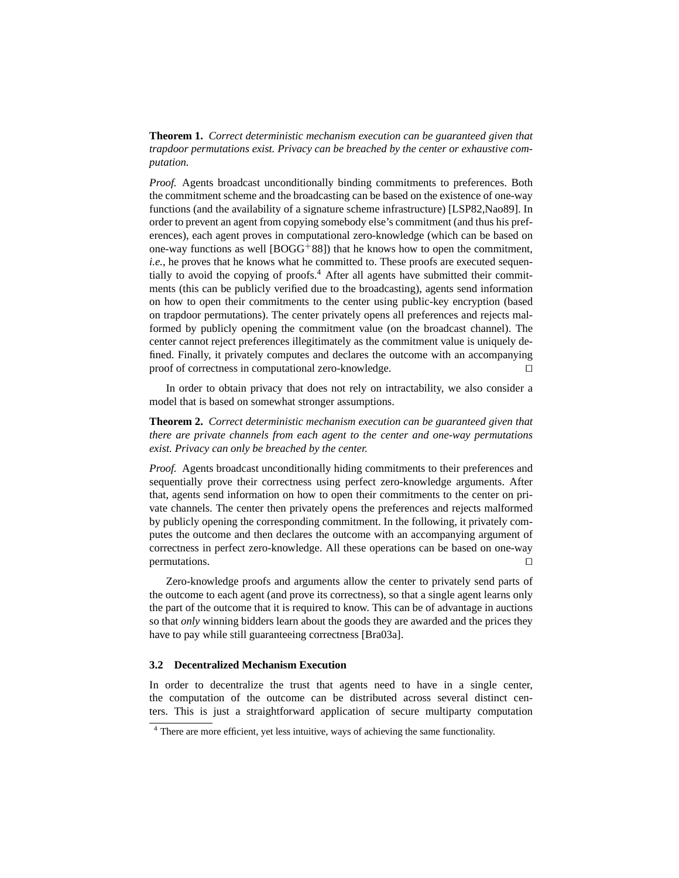**Theorem 1.** *Correct deterministic mechanism execution can be guaranteed given that trapdoor permutations exist. Privacy can be breached by the center or exhaustive computation.*

*Proof.* Agents broadcast unconditionally binding commitments to preferences. Both the commitment scheme and the broadcasting can be based on the existence of one-way functions (and the availability of a signature scheme infrastructure) [LSP82,Nao89]. In order to prevent an agent from copying somebody else's commitment (and thus his preferences), each agent proves in computational zero-knowledge (which can be based on one-way functions as well  $[BOGG<sup>+</sup>88]$ ) that he knows how to open the commitment, *i.e.*, he proves that he knows what he committed to. These proofs are executed sequentially to avoid the copying of proofs.<sup>4</sup> After all agents have submitted their commitments (this can be publicly verified due to the broadcasting), agents send information on how to open their commitments to the center using public-key encryption (based on trapdoor permutations). The center privately opens all preferences and rejects malformed by publicly opening the commitment value (on the broadcast channel). The center cannot reject preferences illegitimately as the commitment value is uniquely defined. Finally, it privately computes and declares the outcome with an accompanying proof of correctness in computational zero-knowledge. □

In order to obtain privacy that does not rely on intractability, we also consider a model that is based on somewhat stronger assumptions.

**Theorem 2.** *Correct deterministic mechanism execution can be guaranteed given that there are private channels from each agent to the center and one-way permutations exist. Privacy can only be breached by the center.*

*Proof.* Agents broadcast unconditionally hiding commitments to their preferences and sequentially prove their correctness using perfect zero-knowledge arguments. After that, agents send information on how to open their commitments to the center on private channels. The center then privately opens the preferences and rejects malformed by publicly opening the corresponding commitment. In the following, it privately computes the outcome and then declares the outcome with an accompanying argument of correctness in perfect zero-knowledge. All these operations can be based on one-way permutations. □

Zero-knowledge proofs and arguments allow the center to privately send parts of the outcome to each agent (and prove its correctness), so that a single agent learns only the part of the outcome that it is required to know. This can be of advantage in auctions so that *only* winning bidders learn about the goods they are awarded and the prices they have to pay while still guaranteeing correctness [Bra03a].

### **3.2 Decentralized Mechanism Execution**

In order to decentralize the trust that agents need to have in a single center, the computation of the outcome can be distributed across several distinct centers. This is just a straightforward application of secure multiparty computation

<sup>4</sup> There are more efficient, yet less intuitive, ways of achieving the same functionality.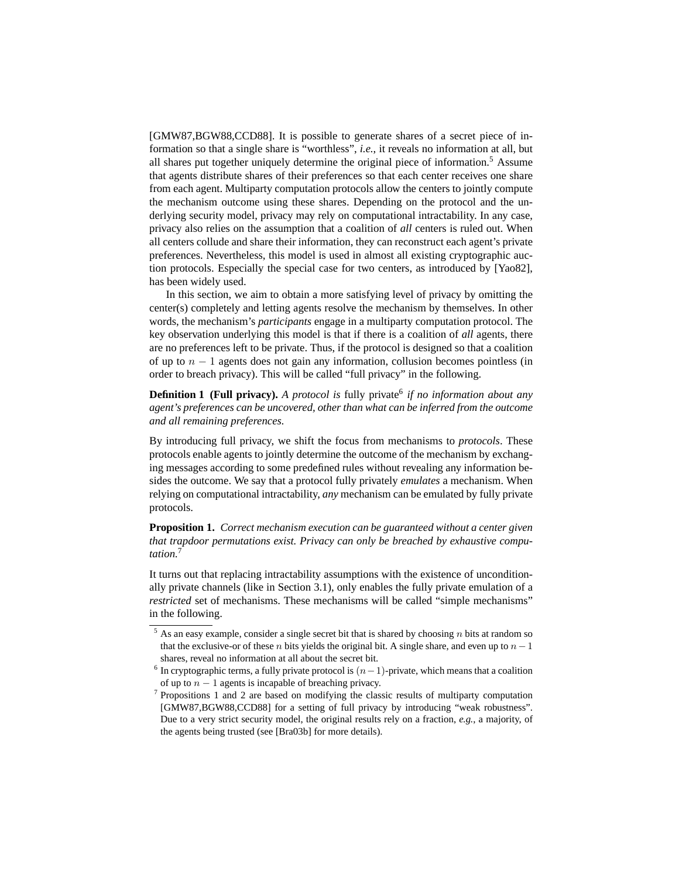[GMW87,BGW88,CCD88]. It is possible to generate shares of a secret piece of information so that a single share is "worthless", *i.e.*, it reveals no information at all, but all shares put together uniquely determine the original piece of information.<sup>5</sup> Assume that agents distribute shares of their preferences so that each center receives one share from each agent. Multiparty computation protocols allow the centers to jointly compute the mechanism outcome using these shares. Depending on the protocol and the underlying security model, privacy may rely on computational intractability. In any case, privacy also relies on the assumption that a coalition of *all* centers is ruled out. When all centers collude and share their information, they can reconstruct each agent's private preferences. Nevertheless, this model is used in almost all existing cryptographic auction protocols. Especially the special case for two centers, as introduced by [Yao82], has been widely used.

In this section, we aim to obtain a more satisfying level of privacy by omitting the center(s) completely and letting agents resolve the mechanism by themselves. In other words, the mechanism's *participants* engage in a multiparty computation protocol. The key observation underlying this model is that if there is a coalition of *all* agents, there are no preferences left to be private. Thus, if the protocol is designed so that a coalition of up to  $n - 1$  agents does not gain any information, collusion becomes pointless (in order to breach privacy). This will be called "full privacy" in the following.

**Definition 1 (Full privacy).** A protocol is fully private<sup>6</sup> if no information about any *agent's preferences can be uncovered, other than what can be inferred from the outcome and all remaining preferences.*

By introducing full privacy, we shift the focus from mechanisms to *protocols*. These protocols enable agents to jointly determine the outcome of the mechanism by exchanging messages according to some predefined rules without revealing any information besides the outcome. We say that a protocol fully privately *emulates* a mechanism. When relying on computational intractability, *any* mechanism can be emulated by fully private protocols.

**Proposition 1.** *Correct mechanism execution can be guaranteed without a center given that trapdoor permutations exist. Privacy can only be breached by exhaustive computation.*<sup>7</sup>

It turns out that replacing intractability assumptions with the existence of unconditionally private channels (like in Section 3.1), only enables the fully private emulation of a *restricted* set of mechanisms. These mechanisms will be called "simple mechanisms" in the following.

 $5$  As an easy example, consider a single secret bit that is shared by choosing n bits at random so that the exclusive-or of these n bits yields the original bit. A single share, and even up to  $n-1$ shares, reveal no information at all about the secret bit.

<sup>&</sup>lt;sup>6</sup> In cryptographic terms, a fully private protocol is  $(n-1)$ -private, which means that a coalition of up to  $n - 1$  agents is incapable of breaching privacy.

<sup>&</sup>lt;sup>7</sup> Propositions 1 and 2 are based on modifying the classic results of multiparty computation [GMW87,BGW88,CCD88] for a setting of full privacy by introducing "weak robustness". Due to a very strict security model, the original results rely on a fraction, *e.g.*, a majority, of the agents being trusted (see [Bra03b] for more details).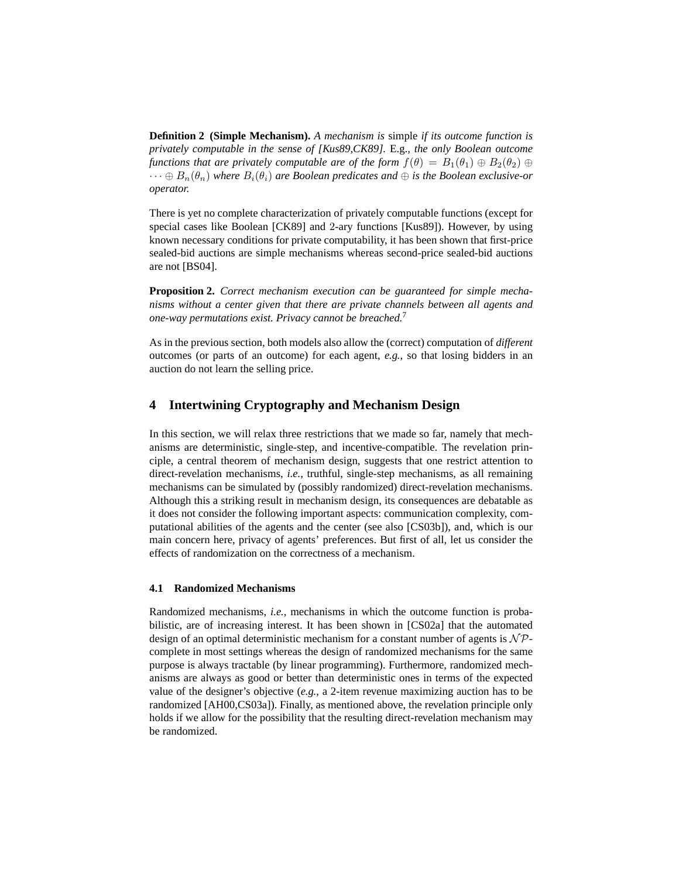**Definition 2 (Simple Mechanism).** *A mechanism is* simple *if its outcome function is privately computable in the sense of [Kus89,CK89].* E.g.*, the only Boolean outcome functions that are privately computable are of the form*  $f(\theta) = B_1(\theta_1) \oplus B_2(\theta_2) \oplus$  $\cdots \oplus B_n(\theta_n)$  where  $B_i(\theta_i)$  are Boolean predicates and  $\oplus$  *is the Boolean exclusive-or operator.*

There is yet no complete characterization of privately computable functions (except for special cases like Boolean [CK89] and 2-ary functions [Kus89]). However, by using known necessary conditions for private computability, it has been shown that first-price sealed-bid auctions are simple mechanisms whereas second-price sealed-bid auctions are not [BS04].

**Proposition 2.** *Correct mechanism execution can be guaranteed for simple mechanisms without a center given that there are private channels between all agents and one-way permutations exist. Privacy cannot be breached.*<sup>7</sup>

As in the previous section, both models also allow the (correct) computation of *different* outcomes (or parts of an outcome) for each agent, *e.g.*, so that losing bidders in an auction do not learn the selling price.

## **4 Intertwining Cryptography and Mechanism Design**

In this section, we will relax three restrictions that we made so far, namely that mechanisms are deterministic, single-step, and incentive-compatible. The revelation principle, a central theorem of mechanism design, suggests that one restrict attention to direct-revelation mechanisms, *i.e.*, truthful, single-step mechanisms, as all remaining mechanisms can be simulated by (possibly randomized) direct-revelation mechanisms. Although this a striking result in mechanism design, its consequences are debatable as it does not consider the following important aspects: communication complexity, computational abilities of the agents and the center (see also [CS03b]), and, which is our main concern here, privacy of agents' preferences. But first of all, let us consider the effects of randomization on the correctness of a mechanism.

#### **4.1 Randomized Mechanisms**

Randomized mechanisms, *i.e.*, mechanisms in which the outcome function is probabilistic, are of increasing interest. It has been shown in [CS02a] that the automated design of an optimal deterministic mechanism for a constant number of agents is  $N\mathcal{P}$ complete in most settings whereas the design of randomized mechanisms for the same purpose is always tractable (by linear programming). Furthermore, randomized mechanisms are always as good or better than deterministic ones in terms of the expected value of the designer's objective (*e.g.*, a 2-item revenue maximizing auction has to be randomized [AH00,CS03a]). Finally, as mentioned above, the revelation principle only holds if we allow for the possibility that the resulting direct-revelation mechanism may be randomized.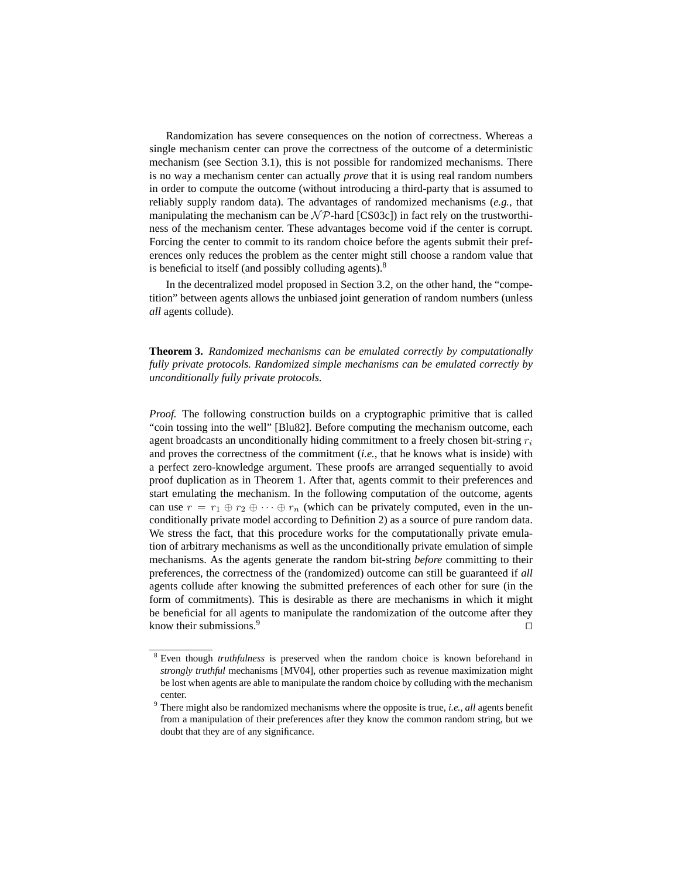Randomization has severe consequences on the notion of correctness. Whereas a single mechanism center can prove the correctness of the outcome of a deterministic mechanism (see Section 3.1), this is not possible for randomized mechanisms. There is no way a mechanism center can actually *prove* that it is using real random numbers in order to compute the outcome (without introducing a third-party that is assumed to reliably supply random data). The advantages of randomized mechanisms (*e.g.*, that manipulating the mechanism can be  $N\mathcal{P}$ -hard [CS03c]) in fact rely on the trustworthiness of the mechanism center. These advantages become void if the center is corrupt. Forcing the center to commit to its random choice before the agents submit their preferences only reduces the problem as the center might still choose a random value that is beneficial to itself (and possibly colluding agents).<sup>8</sup>

In the decentralized model proposed in Section 3.2, on the other hand, the "competition" between agents allows the unbiased joint generation of random numbers (unless *all* agents collude).

**Theorem 3.** *Randomized mechanisms can be emulated correctly by computationally fully private protocols. Randomized simple mechanisms can be emulated correctly by unconditionally fully private protocols.*

*Proof.* The following construction builds on a cryptographic primitive that is called "coin tossing into the well" [Blu82]. Before computing the mechanism outcome, each agent broadcasts an unconditionally hiding commitment to a freely chosen bit-string  $r_i$ and proves the correctness of the commitment (*i.e.*, that he knows what is inside) with a perfect zero-knowledge argument. These proofs are arranged sequentially to avoid proof duplication as in Theorem 1. After that, agents commit to their preferences and start emulating the mechanism. In the following computation of the outcome, agents can use  $r = r_1 \oplus r_2 \oplus \cdots \oplus r_n$  (which can be privately computed, even in the unconditionally private model according to Definition 2) as a source of pure random data. We stress the fact, that this procedure works for the computationally private emulation of arbitrary mechanisms as well as the unconditionally private emulation of simple mechanisms. As the agents generate the random bit-string *before* committing to their preferences, the correctness of the (randomized) outcome can still be guaranteed if *all* agents collude after knowing the submitted preferences of each other for sure (in the form of commitments). This is desirable as there are mechanisms in which it might be beneficial for all agents to manipulate the randomization of the outcome after they know their submissions.<sup>9</sup> □

<sup>8</sup> Even though *truthfulness* is preserved when the random choice is known beforehand in *strongly truthful* mechanisms [MV04], other properties such as revenue maximization might be lost when agents are able to manipulate the random choice by colluding with the mechanism center.

<sup>9</sup> There might also be randomized mechanisms where the opposite is true, *i.e.*, *all* agents benefit from a manipulation of their preferences after they know the common random string, but we doubt that they are of any significance.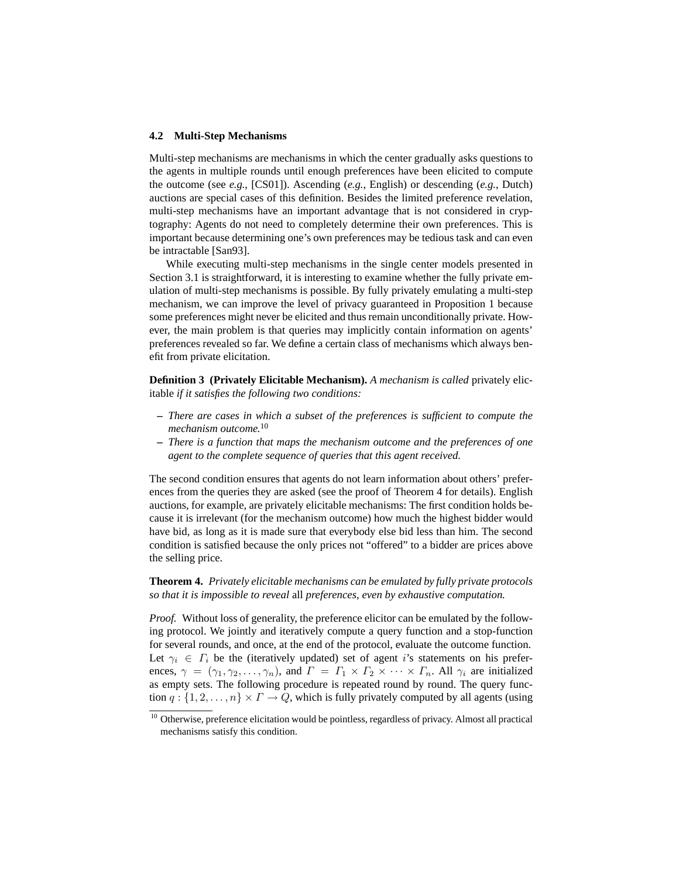#### **4.2 Multi-Step Mechanisms**

Multi-step mechanisms are mechanisms in which the center gradually asks questions to the agents in multiple rounds until enough preferences have been elicited to compute the outcome (see *e.g.*, [CS01]). Ascending (*e.g.*, English) or descending (*e.g.*, Dutch) auctions are special cases of this definition. Besides the limited preference revelation, multi-step mechanisms have an important advantage that is not considered in cryptography: Agents do not need to completely determine their own preferences. This is important because determining one's own preferences may be tedious task and can even be intractable [San93].

While executing multi-step mechanisms in the single center models presented in Section 3.1 is straightforward, it is interesting to examine whether the fully private emulation of multi-step mechanisms is possible. By fully privately emulating a multi-step mechanism, we can improve the level of privacy guaranteed in Proposition 1 because some preferences might never be elicited and thus remain unconditionally private. However, the main problem is that queries may implicitly contain information on agents' preferences revealed so far. We define a certain class of mechanisms which always benefit from private elicitation.

**Definition 3 (Privately Elicitable Mechanism).** *A mechanism is called* privately elicitable *if it satisfies the following two conditions:*

- **–** *There are cases in which a subset of the preferences is sufficient to compute the mechanism outcome.*<sup>10</sup>
- **–** *There is a function that maps the mechanism outcome and the preferences of one agent to the complete sequence of queries that this agent received.*

The second condition ensures that agents do not learn information about others' preferences from the queries they are asked (see the proof of Theorem 4 for details). English auctions, for example, are privately elicitable mechanisms: The first condition holds because it is irrelevant (for the mechanism outcome) how much the highest bidder would have bid, as long as it is made sure that everybody else bid less than him. The second condition is satisfied because the only prices not "offered" to a bidder are prices above the selling price.

**Theorem 4.** *Privately elicitable mechanisms can be emulated by fully private protocols so that it is impossible to reveal* all *preferences, even by exhaustive computation.*

*Proof.* Without loss of generality, the preference elicitor can be emulated by the following protocol. We jointly and iteratively compute a query function and a stop-function for several rounds, and once, at the end of the protocol, evaluate the outcome function. Let  $\gamma_i \in \Gamma_i$  be the (iteratively updated) set of agent i's statements on his preferences,  $\gamma = (\gamma_1, \gamma_2, \ldots, \gamma_n)$ , and  $\Gamma = \Gamma_1 \times \Gamma_2 \times \cdots \times \Gamma_n$ . All  $\gamma_i$  are initialized as empty sets. The following procedure is repeated round by round. The query function  $q: \{1, 2, \ldots, n\} \times \Gamma \to Q$ , which is fully privately computed by all agents (using

<sup>&</sup>lt;sup>10</sup> Otherwise, preference elicitation would be pointless, regardless of privacy. Almost all practical mechanisms satisfy this condition.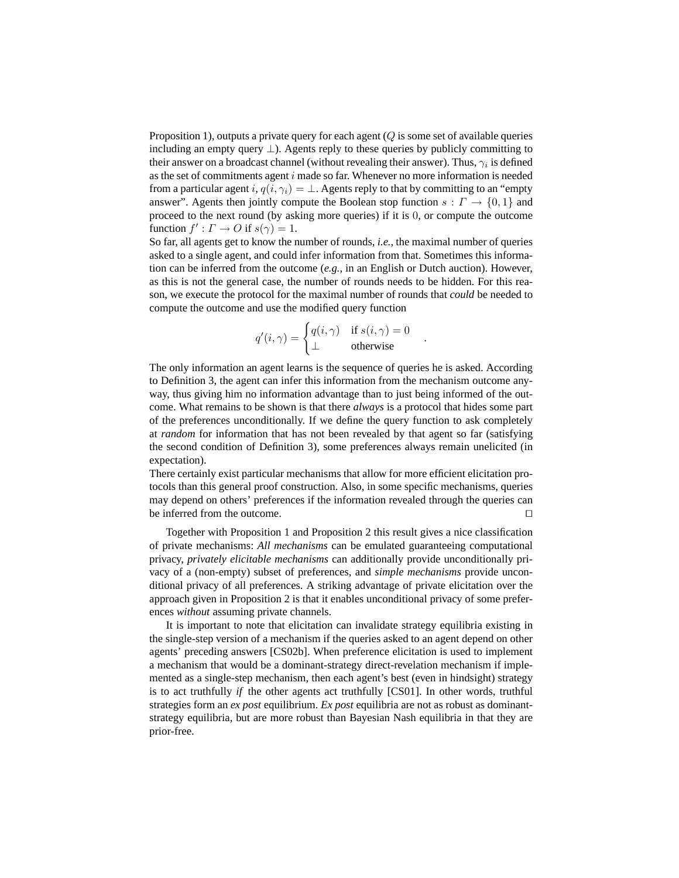Proposition 1), outputs a private query for each agent  $(Q)$  is some set of available queries including an empty query  $\perp$ ). Agents reply to these queries by publicly committing to their answer on a broadcast channel (without revealing their answer). Thus,  $\gamma_i$  is defined as the set of commitments agent  $i$  made so far. Whenever no more information is needed from a particular agent i,  $q(i, \gamma_i) = \bot$ . Agents reply to that by committing to an "empty" answer". Agents then jointly compute the Boolean stop function  $s: \Gamma \to \{0, 1\}$  and proceed to the next round (by asking more queries) if it is 0, or compute the outcome function  $f' : \Gamma \to O$  if  $s(\gamma) = 1$ .

So far, all agents get to know the number of rounds, *i.e.*, the maximal number of queries asked to a single agent, and could infer information from that. Sometimes this information can be inferred from the outcome (*e.g.*, in an English or Dutch auction). However, as this is not the general case, the number of rounds needs to be hidden. For this reason, we execute the protocol for the maximal number of rounds that *could* be needed to compute the outcome and use the modified query function

$$
q'(i, \gamma) = \begin{cases} q(i, \gamma) & \text{if } s(i, \gamma) = 0 \\ \bot & \text{otherwise} \end{cases}
$$

.

The only information an agent learns is the sequence of queries he is asked. According to Definition 3, the agent can infer this information from the mechanism outcome anyway, thus giving him no information advantage than to just being informed of the outcome. What remains to be shown is that there *always* is a protocol that hides some part of the preferences unconditionally. If we define the query function to ask completely at *random* for information that has not been revealed by that agent so far (satisfying the second condition of Definition 3), some preferences always remain unelicited (in expectation).

There certainly exist particular mechanisms that allow for more efficient elicitation protocols than this general proof construction. Also, in some specific mechanisms, queries may depend on others' preferences if the information revealed through the queries can be inferred from the outcome. ⊓⊔

Together with Proposition 1 and Proposition 2 this result gives a nice classification of private mechanisms: *All mechanisms* can be emulated guaranteeing computational privacy, *privately elicitable mechanisms* can additionally provide unconditionally privacy of a (non-empty) subset of preferences, and *simple mechanisms* provide unconditional privacy of all preferences. A striking advantage of private elicitation over the approach given in Proposition 2 is that it enables unconditional privacy of some preferences *without* assuming private channels.

It is important to note that elicitation can invalidate strategy equilibria existing in the single-step version of a mechanism if the queries asked to an agent depend on other agents' preceding answers [CS02b]. When preference elicitation is used to implement a mechanism that would be a dominant-strategy direct-revelation mechanism if implemented as a single-step mechanism, then each agent's best (even in hindsight) strategy is to act truthfully *if* the other agents act truthfully [CS01]. In other words, truthful strategies form an *ex post* equilibrium. *Ex post* equilibria are not as robust as dominantstrategy equilibria, but are more robust than Bayesian Nash equilibria in that they are prior-free.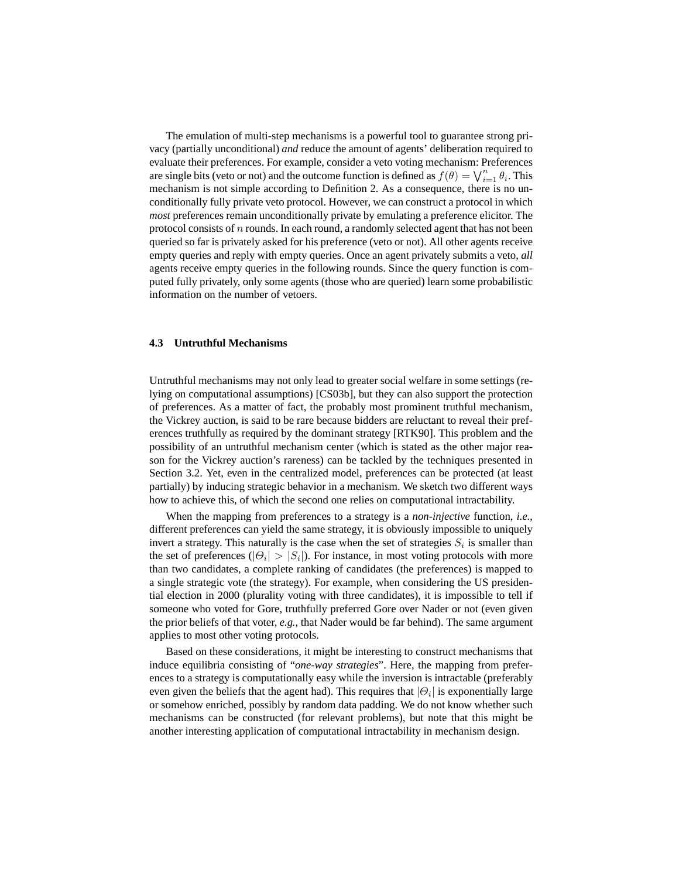The emulation of multi-step mechanisms is a powerful tool to guarantee strong privacy (partially unconditional) *and* reduce the amount of agents' deliberation required to evaluate their preferences. For example, consider a veto voting mechanism: Preferences are single bits (veto or not) and the outcome function is defined as  $f(\theta) = \bigvee_{i=1}^{n} \theta_i$ . This mechanism is not simple according to Definition 2. As a consequence, there is no unconditionally fully private veto protocol. However, we can construct a protocol in which *most* preferences remain unconditionally private by emulating a preference elicitor. The protocol consists of  $n$  rounds. In each round, a randomly selected agent that has not been queried so far is privately asked for his preference (veto or not). All other agents receive empty queries and reply with empty queries. Once an agent privately submits a veto, *all* agents receive empty queries in the following rounds. Since the query function is computed fully privately, only some agents (those who are queried) learn some probabilistic information on the number of vetoers.

#### **4.3 Untruthful Mechanisms**

Untruthful mechanisms may not only lead to greater social welfare in some settings (relying on computational assumptions) [CS03b], but they can also support the protection of preferences. As a matter of fact, the probably most prominent truthful mechanism, the Vickrey auction, is said to be rare because bidders are reluctant to reveal their preferences truthfully as required by the dominant strategy [RTK90]. This problem and the possibility of an untruthful mechanism center (which is stated as the other major reason for the Vickrey auction's rareness) can be tackled by the techniques presented in Section 3.2. Yet, even in the centralized model, preferences can be protected (at least partially) by inducing strategic behavior in a mechanism. We sketch two different ways how to achieve this, of which the second one relies on computational intractability.

When the mapping from preferences to a strategy is a *non-injective* function, *i.e.*, different preferences can yield the same strategy, it is obviously impossible to uniquely invert a strategy. This naturally is the case when the set of strategies  $S_i$  is smaller than the set of preferences  $(|\Theta_i| > |S_i|)$ . For instance, in most voting protocols with more than two candidates, a complete ranking of candidates (the preferences) is mapped to a single strategic vote (the strategy). For example, when considering the US presidential election in 2000 (plurality voting with three candidates), it is impossible to tell if someone who voted for Gore, truthfully preferred Gore over Nader or not (even given the prior beliefs of that voter, *e.g.*, that Nader would be far behind). The same argument applies to most other voting protocols.

Based on these considerations, it might be interesting to construct mechanisms that induce equilibria consisting of "*one-way strategies*". Here, the mapping from preferences to a strategy is computationally easy while the inversion is intractable (preferably even given the beliefs that the agent had). This requires that  $|\Theta_i|$  is exponentially large or somehow enriched, possibly by random data padding. We do not know whether such mechanisms can be constructed (for relevant problems), but note that this might be another interesting application of computational intractability in mechanism design.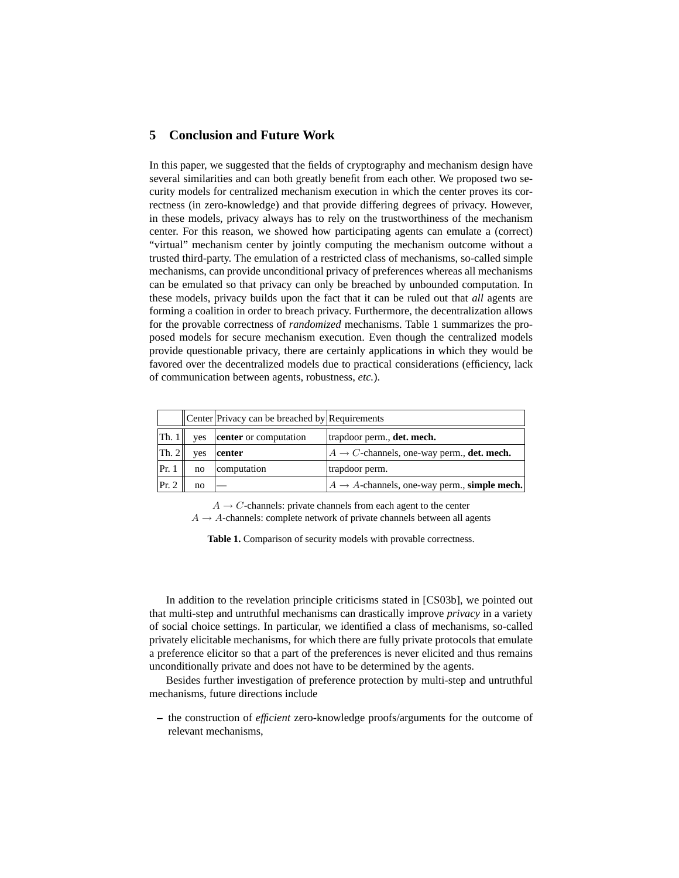# **5 Conclusion and Future Work**

In this paper, we suggested that the fields of cryptography and mechanism design have several similarities and can both greatly benefit from each other. We proposed two security models for centralized mechanism execution in which the center proves its correctness (in zero-knowledge) and that provide differing degrees of privacy. However, in these models, privacy always has to rely on the trustworthiness of the mechanism center. For this reason, we showed how participating agents can emulate a (correct) "virtual" mechanism center by jointly computing the mechanism outcome without a trusted third-party. The emulation of a restricted class of mechanisms, so-called simple mechanisms, can provide unconditional privacy of preferences whereas all mechanisms can be emulated so that privacy can only be breached by unbounded computation. In these models, privacy builds upon the fact that it can be ruled out that *all* agents are forming a coalition in order to breach privacy. Furthermore, the decentralization allows for the provable correctness of *randomized* mechanisms. Table 1 summarizes the proposed models for secure mechanism execution. Even though the centralized models provide questionable privacy, there are certainly applications in which they would be favored over the decentralized models due to practical considerations (efficiency, lack of communication between agents, robustness, *etc.*).

|                       |     | Center Privacy can be breached by Requirements |                                                                  |
|-----------------------|-----|------------------------------------------------|------------------------------------------------------------------|
| $\Vert$ Th. 1 $\Vert$ | ves | <b>center</b> or computation                   | trapdoor perm., det. mech.                                       |
| Th. 2                 | ves | center                                         | $ A \rightarrow C$ -channels, one-way perm., <b>det. mech.</b>   |
| Pr. 1                 | no  | computation                                    | trapdoor perm.                                                   |
| Pr. 2                 | no  |                                                | $ A \rightarrow A$ -channels, one-way perm., <b>simple mech.</b> |

 $A \rightarrow C$ -channels: private channels from each agent to the center

 $A \rightarrow A$ -channels: complete network of private channels between all agents

**Table 1.** Comparison of security models with provable correctness.

In addition to the revelation principle criticisms stated in [CS03b], we pointed out that multi-step and untruthful mechanisms can drastically improve *privacy* in a variety of social choice settings. In particular, we identified a class of mechanisms, so-called privately elicitable mechanisms, for which there are fully private protocols that emulate a preference elicitor so that a part of the preferences is never elicited and thus remains unconditionally private and does not have to be determined by the agents.

- **–** the construction of *efficient* zero-knowledge proofs/arguments for the outcome of relevant mechanisms,
- Besides further investigation of preference protection by multi-step and untruthful mechanisms, future directions include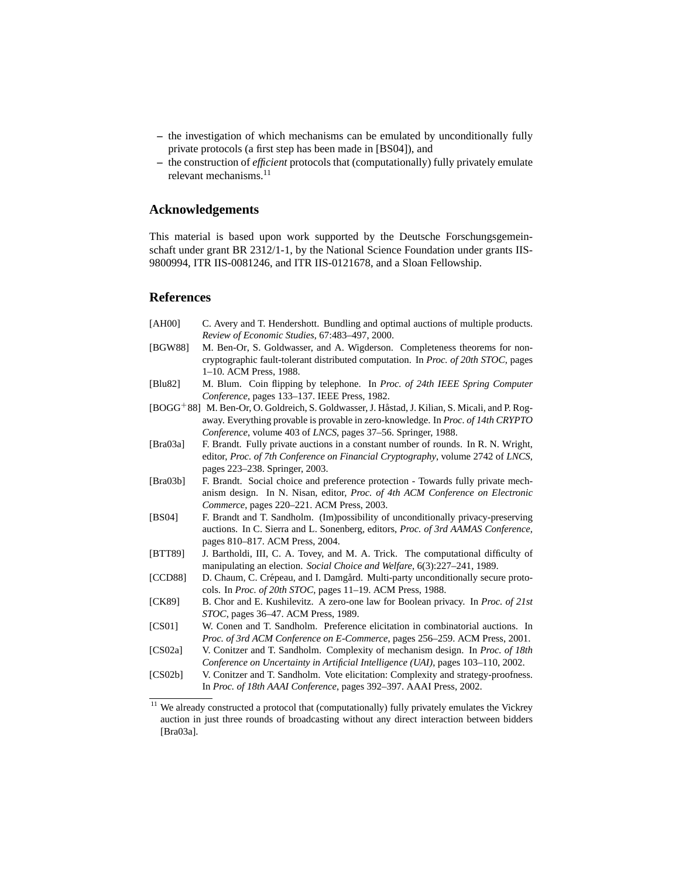- **–** the investigation of which mechanisms can be emulated by unconditionally fully private protocols (a first step has been made in [BS04]), and
- **–** the construction of *efficient* protocols that (computationally) fully privately emulate relevant mechanisms.<sup>11</sup>

### **Acknowledgements**

This material is based upon work supported by the Deutsche Forschungsgemeinschaft under grant BR 2312/1-1, by the National Science Foundation under grants IIS-9800994, ITR IIS-0081246, and ITR IIS-0121678, and a Sloan Fellowship.

#### **References**

- [AH00] C. Avery and T. Hendershott. Bundling and optimal auctions of multiple products. *Review of Economic Studies*, 67:483–497, 2000.
- [BGW88] M. Ben-Or, S. Goldwasser, and A. Wigderson. Completeness theorems for noncryptographic fault-tolerant distributed computation. In *Proc. of 20th STOC*, pages 1–10. ACM Press, 1988.
- [Blu82] M. Blum. Coin flipping by telephone. In *Proc. of 24th IEEE Spring Computer Conference*, pages 133–137. IEEE Press, 1982.
- [BOGG<sup>+</sup>88] M. Ben-Or, O. Goldreich, S. Goldwasser, J. Håstad, J. Kilian, S. Micali, and P. Rogaway. Everything provable is provable in zero-knowledge. In *Proc. of 14th CRYPTO Conference*, volume 403 of *LNCS*, pages 37–56. Springer, 1988.
- [Bra03a] F. Brandt. Fully private auctions in a constant number of rounds. In R. N. Wright, editor, *Proc. of 7th Conference on Financial Cryptography*, volume 2742 of *LNCS*, pages 223–238. Springer, 2003.
- [Bra03b] F. Brandt. Social choice and preference protection Towards fully private mechanism design. In N. Nisan, editor, *Proc. of 4th ACM Conference on Electronic Commerce*, pages 220–221. ACM Press, 2003.
- [BS04] F. Brandt and T. Sandholm. (Im)possibility of unconditionally privacy-preserving auctions. In C. Sierra and L. Sonenberg, editors, *Proc. of 3rd AAMAS Conference*, pages 810–817. ACM Press, 2004.
- [BTT89] J. Bartholdi, III, C. A. Tovey, and M. A. Trick. The computational difficulty of manipulating an election. *Social Choice and Welfare*, 6(3):227–241, 1989.
- [CCD88] D. Chaum, C. Crépeau, and I. Damgård. Multi-party unconditionally secure protocols. In *Proc. of 20th STOC*, pages 11–19. ACM Press, 1988.
- [CK89] B. Chor and E. Kushilevitz. A zero-one law for Boolean privacy. In *Proc. of 21st STOC*, pages 36–47. ACM Press, 1989.
- [CS01] W. Conen and T. Sandholm. Preference elicitation in combinatorial auctions. In *Proc. of 3rd ACM Conference on E-Commerce*, pages 256–259. ACM Press, 2001.
- [CS02a] V. Conitzer and T. Sandholm. Complexity of mechanism design. In *Proc. of 18th Conference on Uncertainty in Artificial Intelligence (UAI)*, pages 103–110, 2002.
- [CS02b] V. Conitzer and T. Sandholm. Vote elicitation: Complexity and strategy-proofness. In *Proc. of 18th AAAI Conference*, pages 392–397. AAAI Press, 2002.

<sup>&</sup>lt;sup>11</sup> We already constructed a protocol that (computationally) fully privately emulates the Vickrey auction in just three rounds of broadcasting without any direct interaction between bidders [Bra03a].